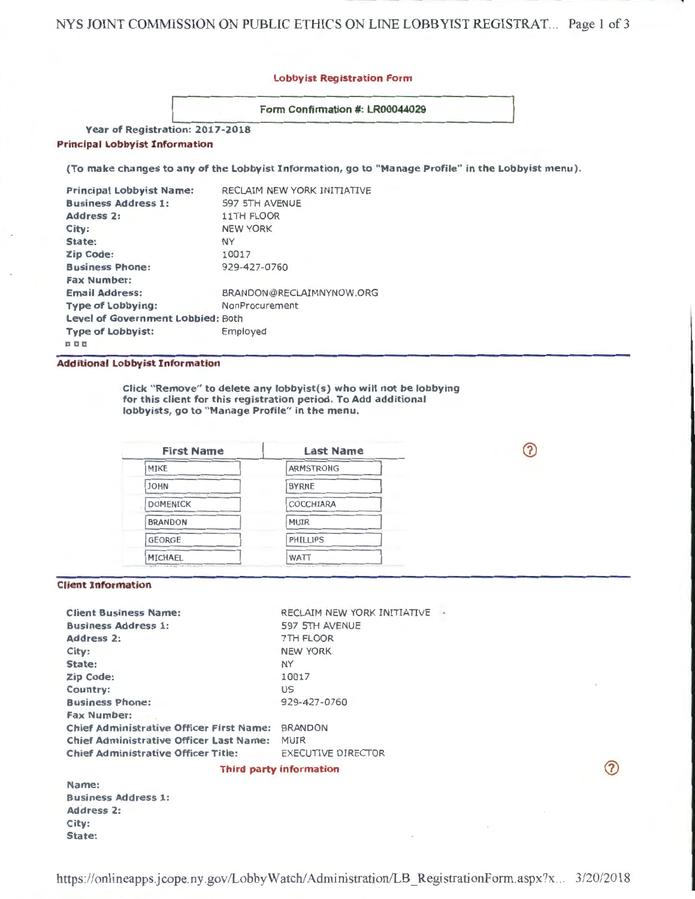## Lobbyist Registration Form

Form Confirmation #: LR00044029

Year of Registration: 2017-2018 Principal Lobbyist Information

(To make changes to any of the Lobbyist Information, go to "Manage Profile" in the Lobbyist menu).

| RECLAIM NEW YORK INITIATIVE       |
|-----------------------------------|
| 597 5TH AVENUE                    |
| <b>11TH FLOOR</b>                 |
| <b>NEW YORK</b>                   |
| <b>NY</b>                         |
| 10017                             |
| 929-427-0760                      |
|                                   |
| BRANDON@RECLAIMNYNOW.ORG          |
| NonProcurement                    |
| Level of Government Lobbied: Both |
| Employed                          |
|                                   |
|                                   |

## Additional Lobbyist Information

Click "Remove" to delete any lobbyist(s) who will not be lobbying for this client for this registration period. To Add additional lobbyists, go to "Manage Profile" in the menu.

က

 $\circledcirc$ 

| <b>Last Name</b>                                                                                                                                                                                                                              |
|-----------------------------------------------------------------------------------------------------------------------------------------------------------------------------------------------------------------------------------------------|
| <b>ARMSTRONG</b>                                                                                                                                                                                                                              |
| the company of the company of the company of the company of the company of the company of the company of the company of the company of the company of the company of the company of the company of the company of the company<br><b>BYRNE</b> |
| COCCHIARA                                                                                                                                                                                                                                     |
| <b>MUIR</b>                                                                                                                                                                                                                                   |
| PHILLIPS                                                                                                                                                                                                                                      |
| WATT                                                                                                                                                                                                                                          |
|                                                                                                                                                                                                                                               |

#### Client Information

| <b>Client Business Name:</b>                    | RECLAIM NEW YORK INITIATIVE |
|-------------------------------------------------|-----------------------------|
| <b>Business Address 1:</b>                      | 597 5TH AVENUE              |
| Address 2:                                      | 7TH FLOOR                   |
| City:                                           | <b>NEW YORK</b>             |
| State:                                          | <b>NY</b>                   |
| <b>Zip Code:</b>                                | 10017                       |
| Country:                                        | US                          |
| <b>Business Phone:</b>                          | 929-427-0760                |
| <b>Fax Number:</b>                              |                             |
| <b>Chief Administrative Officer First Name:</b> | <b>BRANDON</b>              |
| <b>Chief Administrative Officer Last Name:</b>  | <b>MUIR</b>                 |
| <b>Chief Administrative Officer Title:</b>      | <b>EXECUTIVE DIRECTOR</b>   |
|                                                 |                             |

## Third party information

| Name:                      |  |
|----------------------------|--|
| <b>Business Address 1:</b> |  |
| <b>Address 2:</b>          |  |
| City:                      |  |
| State:                     |  |

https://onlineapps.jcope.ny .gov/LobbyWatch/ Administration/LB \_ RegistrationForm.aspx?x. .. 3/20/20 18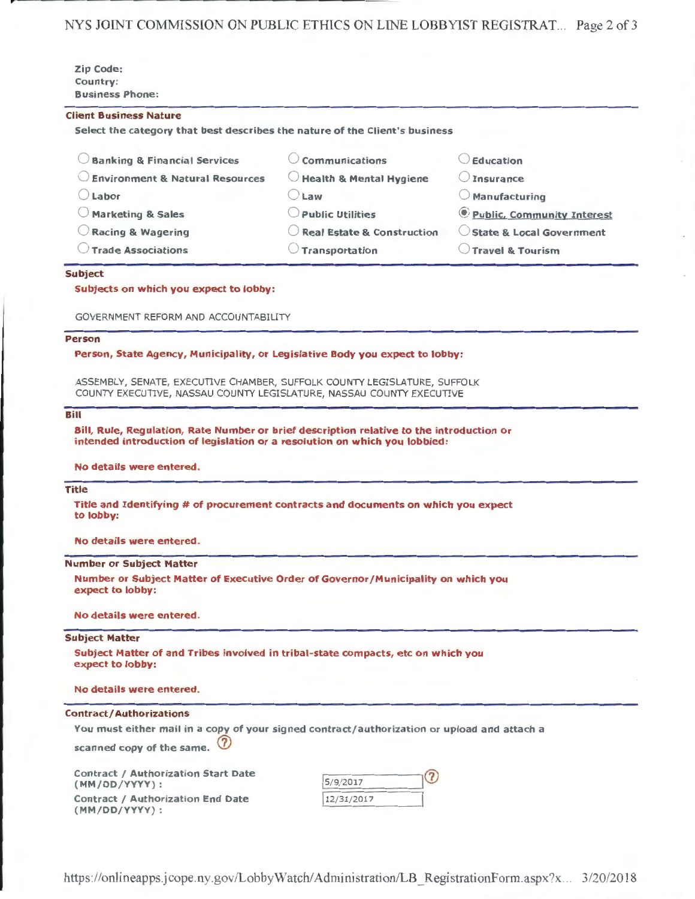NYS JOINT COMMISSION ON PUBLIC ETHICS ON LINE LOBBYIST REGISTRAT... Page 2 of 3

| <b>Zip Code:</b>       |  |  |
|------------------------|--|--|
| Country:               |  |  |
| <b>Business Phone:</b> |  |  |

#### Client Business Nature

Select the category that best describes the nature of the Client's business

| <b>Banking &amp; Financial Services</b>    | Communications                        | $\cup$ Education                           |
|--------------------------------------------|---------------------------------------|--------------------------------------------|
| <b>Environment &amp; Natural Resources</b> | $\bigcirc$ Health & Mental Hygiene    | $\cup$ Insurance                           |
| Labor                                      | Law                                   | $\bigcirc$ Manufacturing                   |
| <b>Marketing &amp; Sales</b>               | <b>Public Utilities</b>               | <i><b>O</b></i> Public, Community Interest |
| Racing & Wagering                          | $\bigcirc$ Real Estate & Construction | State & Local Government                   |
| <b>Trade Associations</b>                  | Transportation                        | $\cup$ Travel & Tourism                    |

### Subject

Subjects on which you expect to lobby:

GOVERNMENT REFORM AND ACCOUNTABILITY

### Person

Person, State Agency, Municipality, or Legislative Body you expect to lobby:

ASSEMBLY, SENATE, EXECUTIVE CHAMBER, SUFFOLK COUNTY LEGISLATURE, SUFFOLK COUNTY EXECUTIVE, NASSAU COUNTY LEGISLATURE, NASSAU COUNTY EXECUTIVE

# Bill

Bill, Rule, Regulation, Rate Number or brief description relative to the introduction or intended introduction of legislation or a resolution on which you lobbied:

#### No details were entered.

# Title

Title and Identifying # of procurement contracts and documents on which you expect to lobby:

No details were entered.

## Number or Subject Matter

Number or Subject Matter of Executive Order of Governor/Municipality on which you expect to lobby:

No details were entered.

#### Subject Matter

Subject Matter of and Tribes involved in tribal-state compacts, etc on which you expect to lobby:

#### No details were entered.

### Contract/ Authorizations

You must either mail in a copy of your signed contract/authorization or upload and attach a scanned copy of the same.  $<sup>7</sup>$ </sup>

Contract / Authorization Start Date (MM/DD/YYYY) : Contract / Authorization End Date (MM/DD/YYYY):

| 5/9/2017   |  |
|------------|--|
| 12/31/2017 |  |

https://onlineapps.jcope.ny.gov/LobbyWatch/Administration/LB\_RegistrationForm.aspx?x... 3/20/2018